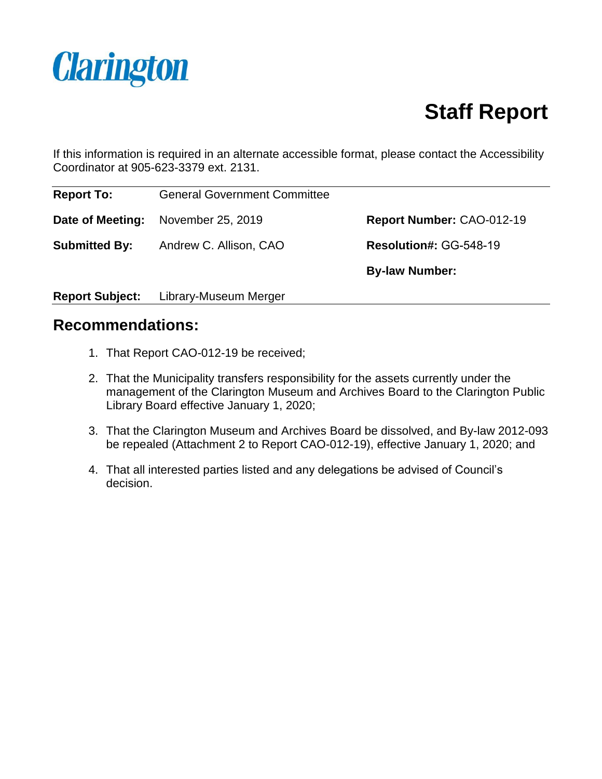

# **Staff Report**

If this information is required in an alternate accessible format, please contact the Accessibility Coordinator at 905-623-3379 ext. 2131.

| <b>Report To:</b>    | <b>General Government Committee</b> |                           |
|----------------------|-------------------------------------|---------------------------|
|                      | Date of Meeting: November 25, 2019  | Report Number: CAO-012-19 |
| <b>Submitted By:</b> | Andrew C. Allison, CAO              | Resolution#: GG-548-19    |
|                      |                                     | <b>By-law Number:</b>     |

**Report Subject:** Library-Museum Merger

### **Recommendations:**

- 1. That Report CAO-012-19 be received;
- 2. That the Municipality transfers responsibility for the assets currently under the management of the Clarington Museum and Archives Board to the Clarington Public Library Board effective January 1, 2020;
- 3. That the Clarington Museum and Archives Board be dissolved, and By-law 2012-093 be repealed (Attachment 2 to Report CAO-012-19), effective January 1, 2020; and
- 4. That all interested parties listed and any delegations be advised of Council's decision.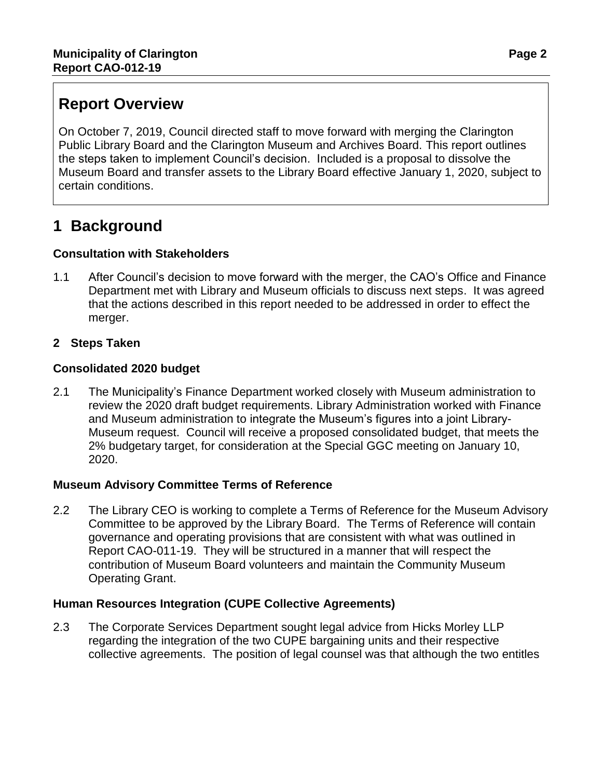# **Report Overview**

On October 7, 2019, Council directed staff to move forward with merging the Clarington Public Library Board and the Clarington Museum and Archives Board. This report outlines the steps taken to implement Council's decision. Included is a proposal to dissolve the Museum Board and transfer assets to the Library Board effective January 1, 2020, subject to certain conditions.

# **1 Background**

### **Consultation with Stakeholders**

- 1.1 After Council's decision to move forward with the merger, the CAO's Office and Finance Department met with Library and Museum officials to discuss next steps. It was agreed that the actions described in this report needed to be addressed in order to effect the merger.
- **2 Steps Taken**

### **Consolidated 2020 budget**

2.1 The Municipality's Finance Department worked closely with Museum administration to review the 2020 draft budget requirements. Library Administration worked with Finance and Museum administration to integrate the Museum's figures into a joint Library-Museum request. Council will receive a proposed consolidated budget, that meets the 2% budgetary target, for consideration at the Special GGC meeting on January 10, 2020.

#### **Museum Advisory Committee Terms of Reference**

2.2 The Library CEO is working to complete a Terms of Reference for the Museum Advisory Committee to be approved by the Library Board. The Terms of Reference will contain governance and operating provisions that are consistent with what was outlined in Report CAO-011-19. They will be structured in a manner that will respect the contribution of Museum Board volunteers and maintain the Community Museum Operating Grant.

#### **Human Resources Integration (CUPE Collective Agreements)**

2.3 The Corporate Services Department sought legal advice from Hicks Morley LLP regarding the integration of the two CUPE bargaining units and their respective collective agreements. The position of legal counsel was that although the two entitles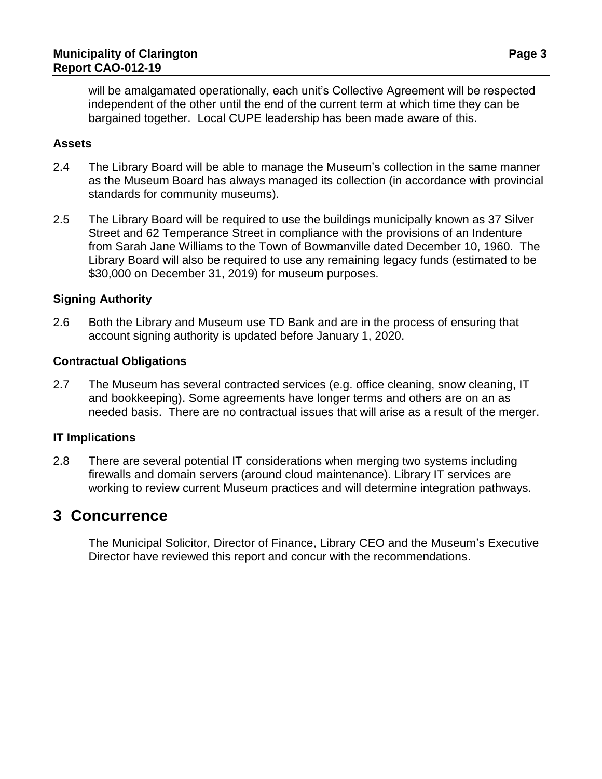will be amalgamated operationally, each unit's Collective Agreement will be respected independent of the other until the end of the current term at which time they can be bargained together. Local CUPE leadership has been made aware of this.

#### **Assets**

- 2.4 The Library Board will be able to manage the Museum's collection in the same manner as the Museum Board has always managed its collection (in accordance with provincial standards for community museums).
- 2.5 The Library Board will be required to use the buildings municipally known as 37 Silver Street and 62 Temperance Street in compliance with the provisions of an Indenture from Sarah Jane Williams to the Town of Bowmanville dated December 10, 1960. The Library Board will also be required to use any remaining legacy funds (estimated to be \$30,000 on December 31, 2019) for museum purposes.

#### **Signing Authority**

2.6 Both the Library and Museum use TD Bank and are in the process of ensuring that account signing authority is updated before January 1, 2020.

#### **Contractual Obligations**

2.7 The Museum has several contracted services (e.g. office cleaning, snow cleaning, IT and bookkeeping). Some agreements have longer terms and others are on an as needed basis. There are no contractual issues that will arise as a result of the merger.

#### **IT Implications**

2.8 There are several potential IT considerations when merging two systems including firewalls and domain servers (around cloud maintenance). Library IT services are working to review current Museum practices and will determine integration pathways.

### **3 Concurrence**

The Municipal Solicitor, Director of Finance, Library CEO and the Museum's Executive Director have reviewed this report and concur with the recommendations.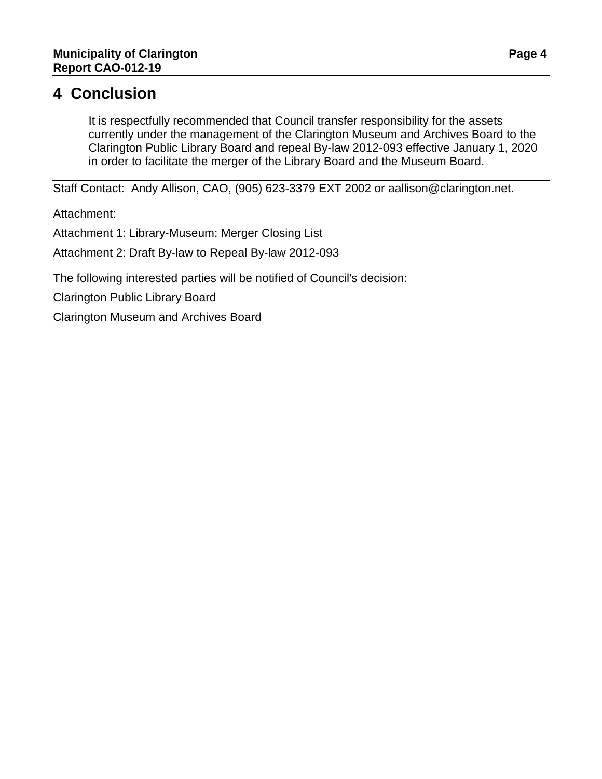## **4 Conclusion**

It is respectfully recommended that Council transfer responsibility for the assets currently under the management of the Clarington Museum and Archives Board to the Clarington Public Library Board and repeal By-law 2012-093 effective January 1, 2020 in order to facilitate the merger of the Library Board and the Museum Board.

Staff Contact: Andy Allison, CAO, (905) 623-3379 EXT 2002 or aallison@clarington.net.

Attachment:

Attachment 1: Library-Museum: Merger Closing List

Attachment 2: Draft By-law to Repeal By-law 2012-093

The following interested parties will be notified of Council's decision:

Clarington Public Library Board

Clarington Museum and Archives Board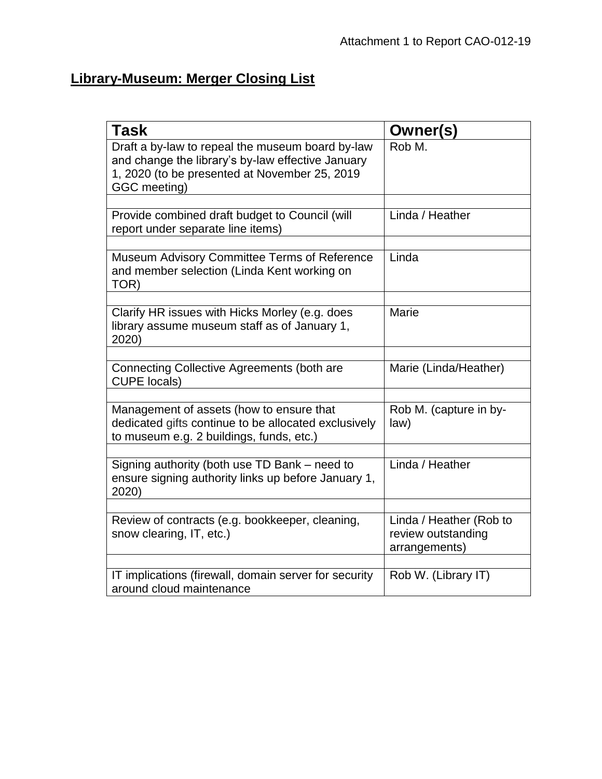# **Library-Museum: Merger Closing List**

| <b>Task</b>                                                                                                                                                            | Owner(s)                                                       |
|------------------------------------------------------------------------------------------------------------------------------------------------------------------------|----------------------------------------------------------------|
| Draft a by-law to repeal the museum board by-law<br>and change the library's by-law effective January<br>1, 2020 (to be presented at November 25, 2019<br>GGC meeting) | Rob M.                                                         |
|                                                                                                                                                                        |                                                                |
| Provide combined draft budget to Council (will<br>report under separate line items)                                                                                    | Linda / Heather                                                |
|                                                                                                                                                                        |                                                                |
| Museum Advisory Committee Terms of Reference<br>and member selection (Linda Kent working on<br>TOR)                                                                    | Linda                                                          |
|                                                                                                                                                                        |                                                                |
| Clarify HR issues with Hicks Morley (e.g. does<br>library assume museum staff as of January 1,<br>2020)                                                                | Marie                                                          |
|                                                                                                                                                                        |                                                                |
| <b>Connecting Collective Agreements (both are</b><br><b>CUPE locals)</b>                                                                                               | Marie (Linda/Heather)                                          |
|                                                                                                                                                                        |                                                                |
| Management of assets (how to ensure that<br>dedicated gifts continue to be allocated exclusively<br>to museum e.g. 2 buildings, funds, etc.)                           | Rob M. (capture in by-<br>law)                                 |
|                                                                                                                                                                        |                                                                |
| Signing authority (both use TD Bank – need to<br>ensure signing authority links up before January 1,<br>2020)                                                          | Linda / Heather                                                |
|                                                                                                                                                                        |                                                                |
| Review of contracts (e.g. bookkeeper, cleaning,<br>snow clearing, IT, etc.)                                                                                            | Linda / Heather (Rob to<br>review outstanding<br>arrangements) |
|                                                                                                                                                                        |                                                                |
| IT implications (firewall, domain server for security<br>around cloud maintenance                                                                                      | Rob W. (Library IT)                                            |